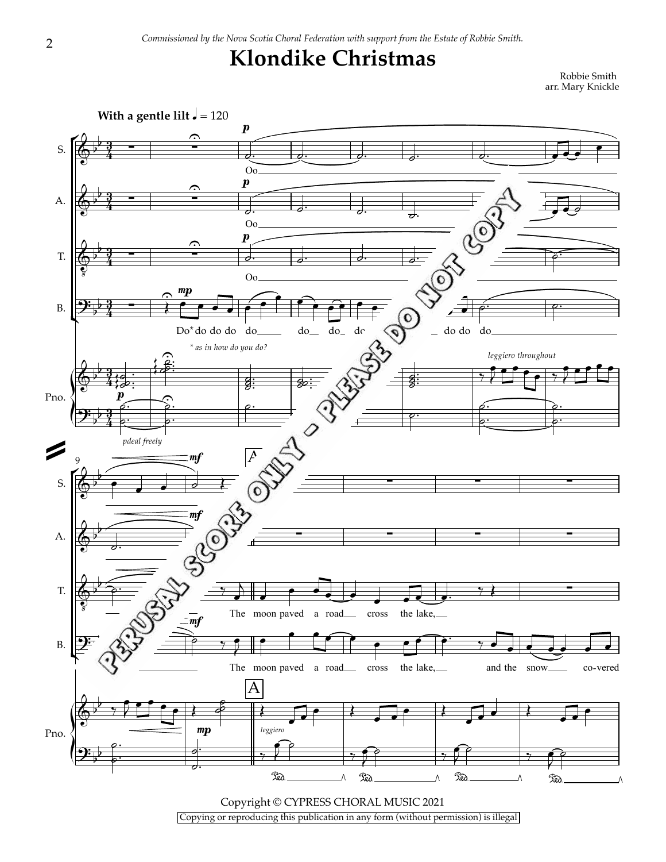## **Klondike Christmas**

Robbie Smith arr. Mary Knickle

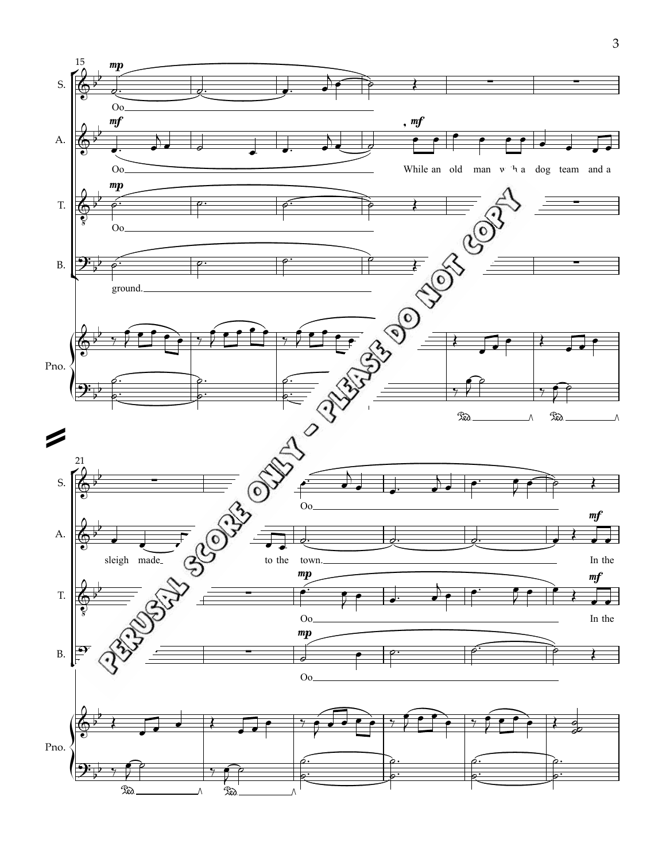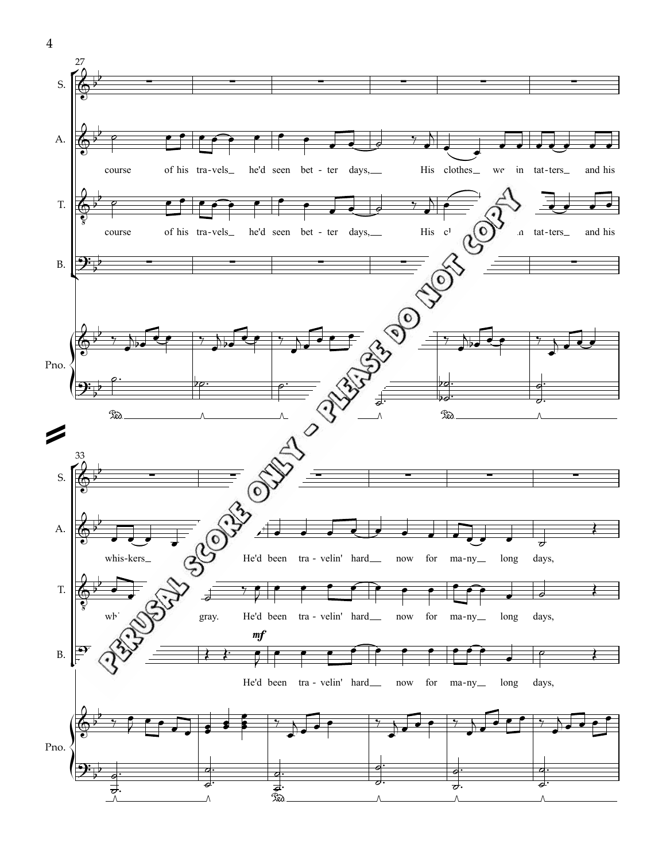

4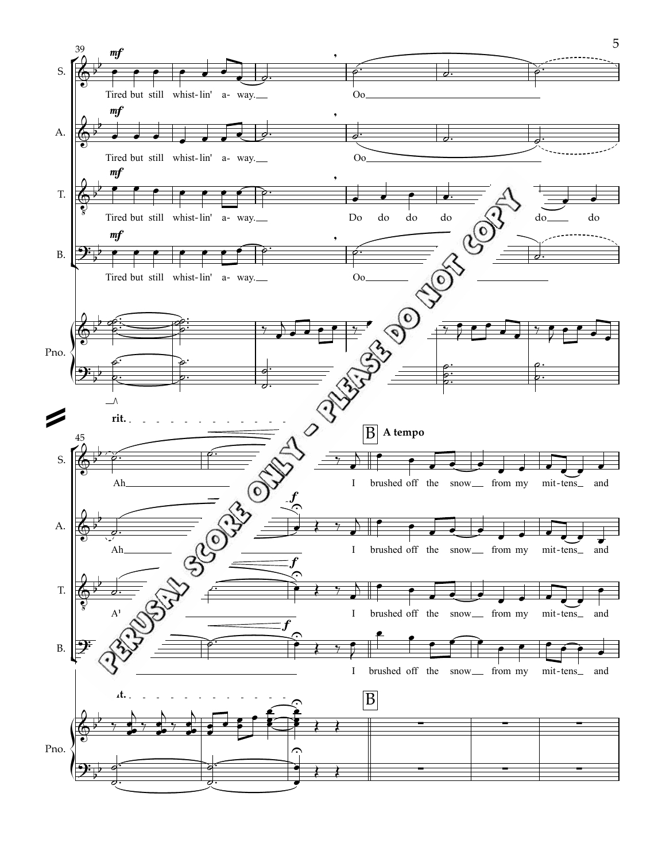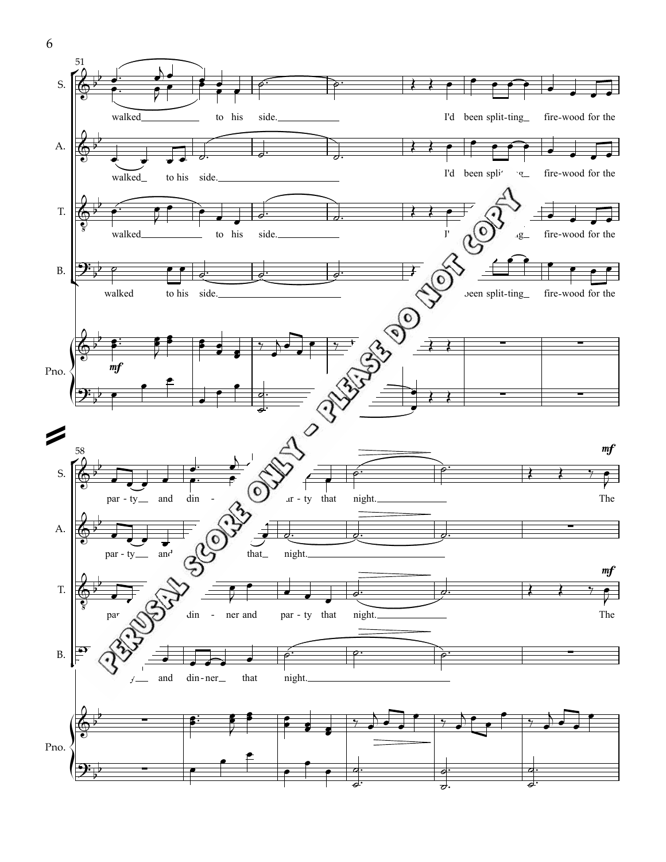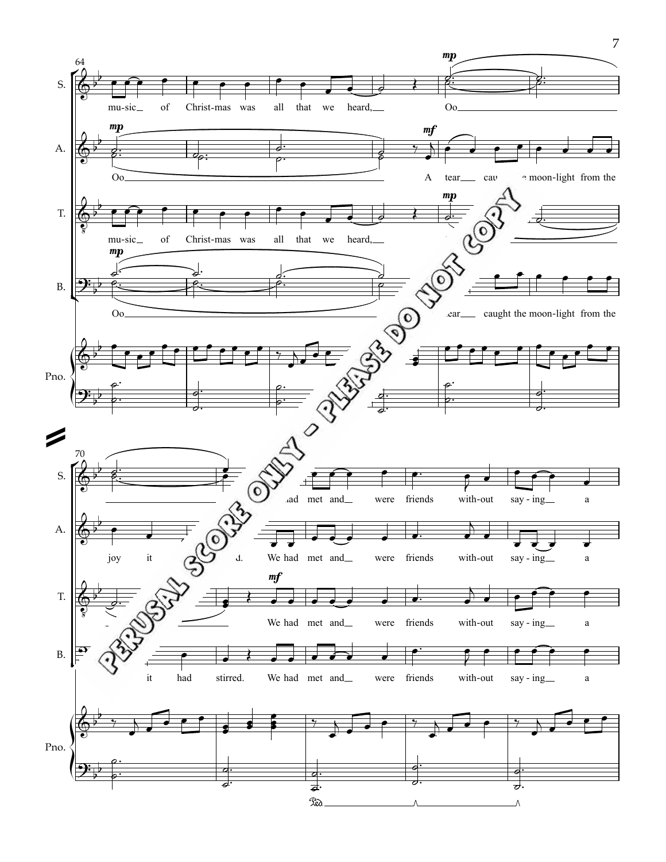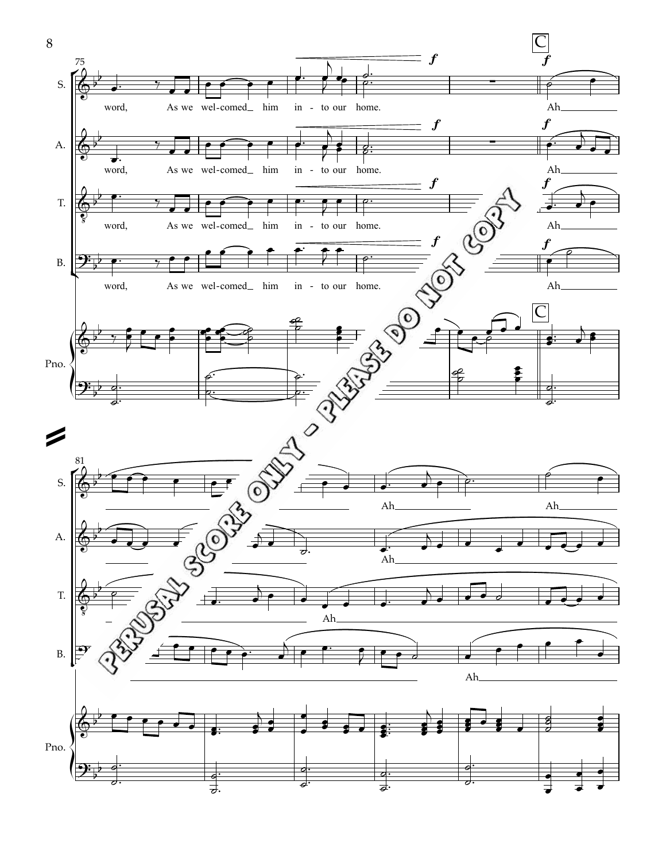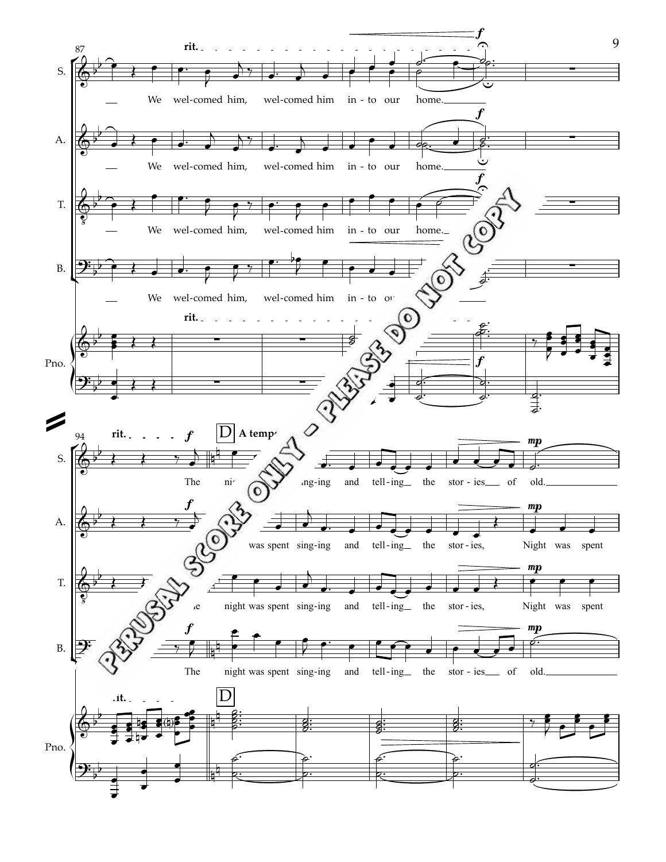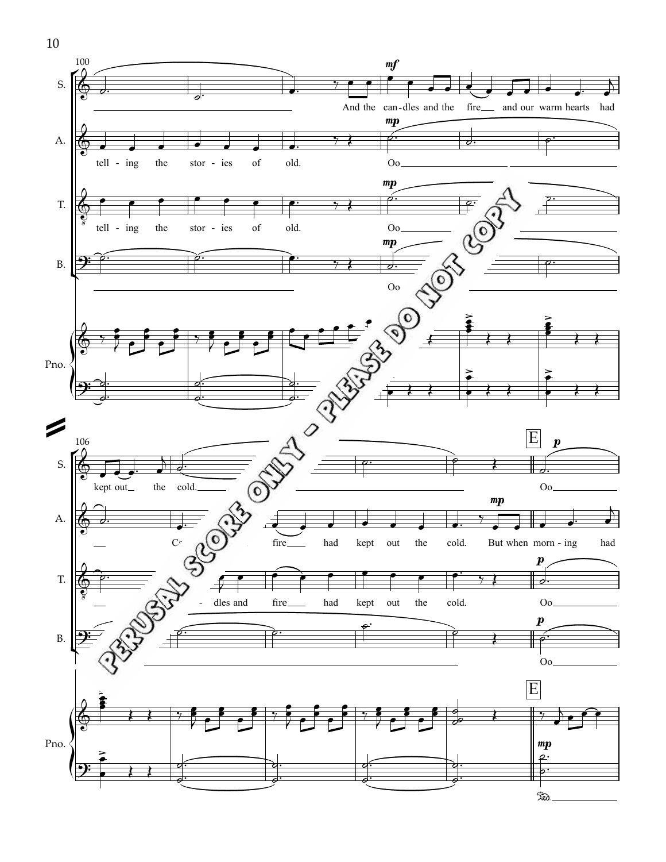

10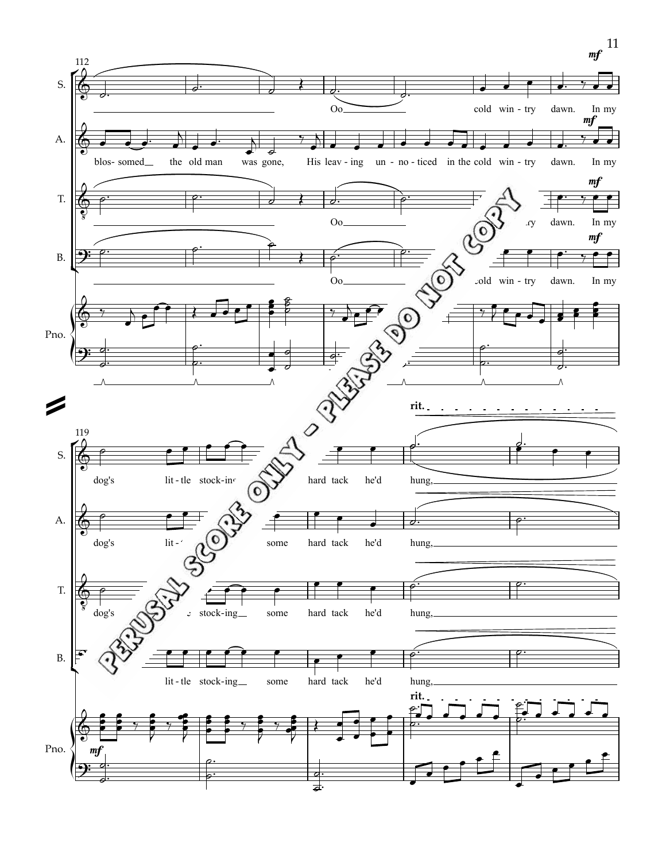

11